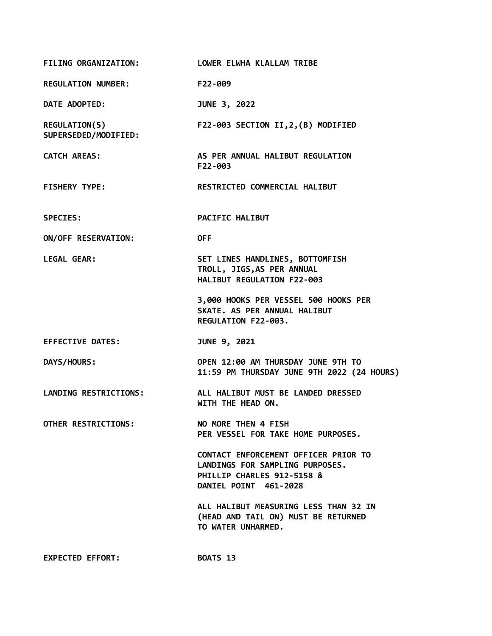| FILING ORGANIZATION: LOWER ELWHA KLALLAM TRIBE |                                                                                                                                |
|------------------------------------------------|--------------------------------------------------------------------------------------------------------------------------------|
| <b>REGULATION NUMBER:</b>                      | F22-009                                                                                                                        |
| DATE ADOPTED:                                  | JUNE 3, 2022                                                                                                                   |
| REGULATION(S)<br>SUPERSEDED/MODIFIED:          | F22-003 SECTION II, 2, (B) MODIFIED                                                                                            |
| <b>CATCH AREAS:</b>                            | AS PER ANNUAL HALIBUT REGULATION<br>F22-003                                                                                    |
| <b>FISHERY TYPE:</b>                           | RESTRICTED COMMERCIAL HALIBUT                                                                                                  |
| <b>SPECIES:</b>                                | PACIFIC HALIBUT                                                                                                                |
| ON/OFF RESERVATION:                            | <b>OFF</b>                                                                                                                     |
| <b>LEGAL GEAR:</b>                             | SET LINES HANDLINES, BOTTOMFISH<br>TROLL, JIGS, AS PER ANNUAL<br>HALIBUT REGULATION F22-003                                    |
|                                                | 3,000 HOOKS PER VESSEL 500 HOOKS PER<br>SKATE. AS PER ANNUAL HALIBUT<br>REGULATION F22-003.                                    |
| <b>EFFECTIVE DATES:</b>                        | JUNE 9, 2021                                                                                                                   |
| DAYS/HOURS:                                    | OPEN 12:00 AM THURSDAY JUNE 9TH TO<br>11:59 PM THURSDAY JUNE 9TH 2022 (24 HOURS)                                               |
| <b>LANDING RESTRICTIONS:</b>                   | ALL HALIBUT MUST BE LANDED DRESSED<br>WITH THE HEAD ON.                                                                        |
| <b>OTHER RESTRICTIONS:</b>                     | NO MORE THEN 4 FISH<br>PER VESSEL FOR TAKE HOME PURPOSES.                                                                      |
|                                                | CONTACT ENFORCEMENT OFFICER PRIOR TO<br>LANDINGS FOR SAMPLING PURPOSES.<br>PHILLIP CHARLES 912-5158 &<br>DANIEL POINT 461-2028 |
|                                                | ALL HALIBUT MEASURING LESS THAN 32 IN<br>(HEAD AND TAIL ON) MUST BE RETURNED<br>TO WATER UNHARMED.                             |
| <b>EXPECTED EFFORT:</b>                        | BOATS 13                                                                                                                       |